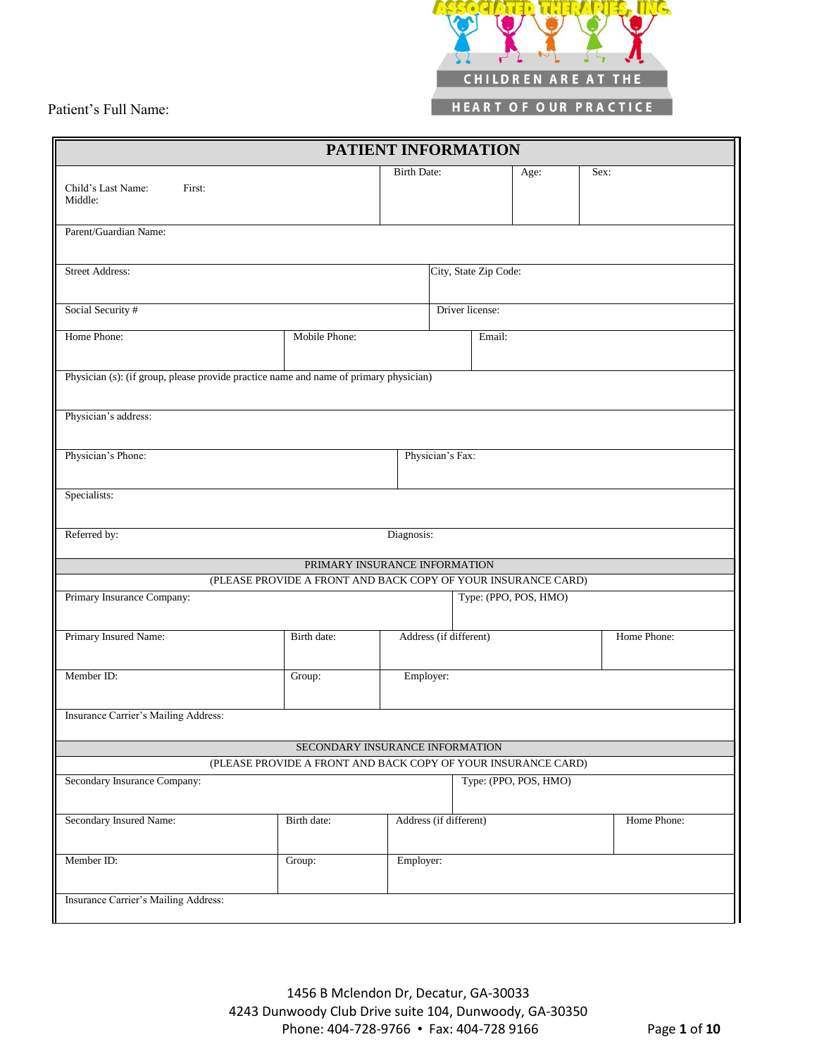

| PATIENT INFORMATION                                                                                                    |                                 |                        |                       |                 |             |  |  |
|------------------------------------------------------------------------------------------------------------------------|---------------------------------|------------------------|-----------------------|-----------------|-------------|--|--|
| Child's Last Name:<br>First:<br>Middle:                                                                                |                                 | <b>Birth Date:</b>     |                       | Age:            | Sex:        |  |  |
| Parent/Guardian Name:                                                                                                  |                                 |                        |                       |                 |             |  |  |
| <b>Street Address:</b><br>City, State Zip Code:                                                                        |                                 |                        |                       |                 |             |  |  |
| Social Security #                                                                                                      |                                 |                        |                       | Driver license: |             |  |  |
| Home Phone:                                                                                                            | Mobile Phone:                   |                        | Email:                |                 |             |  |  |
| Physician (s): (if group, please provide practice name and name of primary physician)                                  |                                 |                        |                       |                 |             |  |  |
| Physician's address:                                                                                                   |                                 |                        |                       |                 |             |  |  |
| Physician's Phone:                                                                                                     |                                 |                        | Physician's Fax:      |                 |             |  |  |
| Specialists:                                                                                                           |                                 |                        |                       |                 |             |  |  |
| Referred by:<br>Diagnosis:                                                                                             |                                 |                        |                       |                 |             |  |  |
|                                                                                                                        | PRIMARY INSURANCE INFORMATION   |                        |                       |                 |             |  |  |
| (PLEASE PROVIDE A FRONT AND BACK COPY OF YOUR INSURANCE CARD)<br>Primary Insurance Company:                            |                                 |                        | Type: (PPO, POS, HMO) |                 |             |  |  |
| Primary Insured Name:                                                                                                  | Birth date:                     | Address (if different) |                       |                 | Home Phone: |  |  |
| Member ID:                                                                                                             | Group:                          | Employer:              |                       |                 |             |  |  |
| Insurance Carrier's Mailing Address:                                                                                   |                                 |                        |                       |                 |             |  |  |
|                                                                                                                        | SECONDARY INSURANCE INFORMATION |                        |                       |                 |             |  |  |
| (PLEASE PROVIDE A FRONT AND BACK COPY OF YOUR INSURANCE CARD)<br>Type: (PPO, POS, HMO)<br>Secondary Insurance Company: |                                 |                        |                       |                 |             |  |  |
|                                                                                                                        |                                 |                        |                       |                 |             |  |  |
| Secondary Insured Name:                                                                                                | Birth date:                     | Address (if different) |                       |                 | Home Phone: |  |  |
| Member ID:                                                                                                             | Group:                          | Employer:              |                       |                 |             |  |  |
| Insurance Carrier's Mailing Address:                                                                                   |                                 |                        |                       |                 |             |  |  |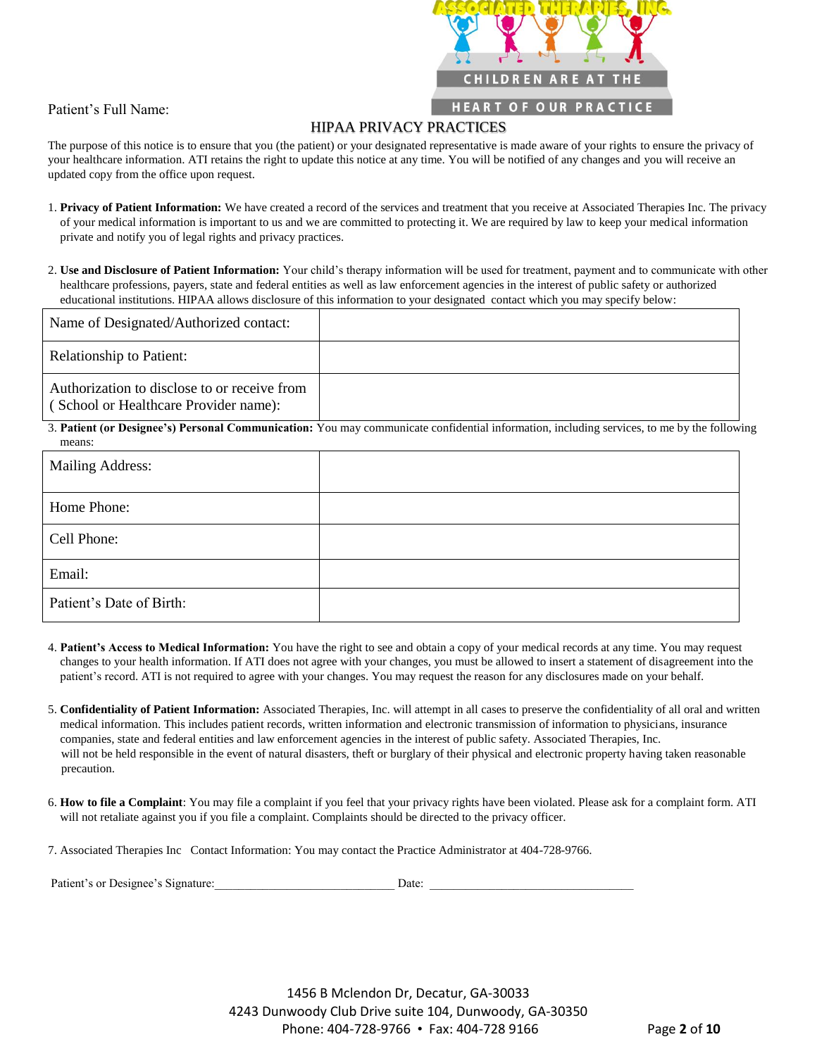

#### HIPAA PRIVACY PRACTICES

The purpose of this notice is to ensure that you (the patient) or your designated representative is made aware of your rights to ensure the privacy of your healthcare information. ATI retains the right to update this notice at any time. You will be notified of any changes and you will receive an updated copy from the office upon request.

- 1. **Privacy of Patient Information:** We have created a record of the services and treatment that you receive at Associated Therapies Inc. The privacy of your medical information is important to us and we are committed to protecting it. We are required by law to keep your medical information private and notify you of legal rights and privacy practices.
- 2. **Use and Disclosure of Patient Information:** Your child's therapy information will be used for treatment, payment and to communicate with other healthcare professions, payers, state and federal entities as well as law enforcement agencies in the interest of public safety or authorized educational institutions. HIPAA allows disclosure of this information to your designated contact which you may specify below:

| Name of Designated/Authorized contact:                                                |  |
|---------------------------------------------------------------------------------------|--|
| <b>Relationship to Patient:</b>                                                       |  |
| Authorization to disclose to or receive from<br>(School or Healthcare Provider name): |  |

3. **Patient (or Designee's) Personal Communication:** You may communicate confidential information, including services, to me by the following means:

| <b>Mailing Address:</b>  |  |
|--------------------------|--|
| Home Phone:              |  |
| Cell Phone:              |  |
| Email:                   |  |
| Patient's Date of Birth: |  |

- 4. **Patient's Access to Medical Information:** You have the right to see and obtain a copy of your medical records at any time. You may request changes to your health information. If ATI does not agree with your changes, you must be allowed to insert a statement of disagreement into the patient's record. ATI is not required to agree with your changes. You may request the reason for any disclosures made on your behalf.
- 5. **Confidentiality of Patient Information:** Associated Therapies, Inc. will attempt in all cases to preserve the confidentiality of all oral and written medical information. This includes patient records, written information and electronic transmission of information to physicians, insurance companies, state and federal entities and law enforcement agencies in the interest of public safety. Associated Therapies, Inc. will not be held responsible in the event of natural disasters, theft or burglary of their physical and electronic property having taken reasonable precaution.
- 6. **How to file a Complaint**: You may file a complaint if you feel that your privacy rights have been violated. Please ask for a complaint form. ATI will not retaliate against you if you file a complaint. Complaints should be directed to the privacy officer.
- 7. Associated Therapies Inc Contact Information: You may contact the Practice Administrator at 404-728-9766.

| Patient's or Designee's Signature: |  |
|------------------------------------|--|
|------------------------------------|--|

1456 B Mclendon Dr, Decatur, GA-30033 4243 Dunwoody Club Drive suite 104, Dunwoody, GA-30350 Phone: 404-728-9766 • Fax: 404-728 9166 Page **2** of **10**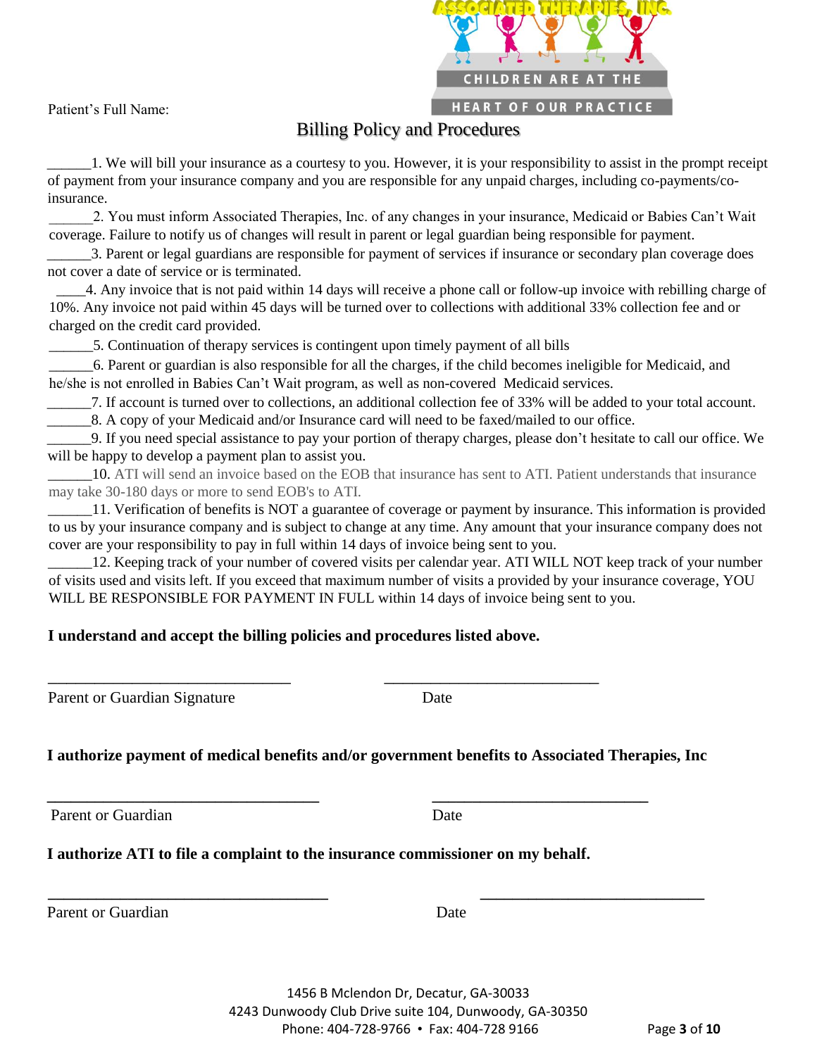**CHILDREN ARE AT THE HEART OF OUR PRACTICE** 

Patient's Full Name:

# Billing Policy and Procedures

\_\_\_\_\_\_1. We will bill your insurance as a courtesy to you. However, it is your responsibility to assist in the prompt receipt of payment from your insurance company and you are responsible for any unpaid charges, including co-payments/coinsurance.

\_\_\_\_\_\_2. You must inform Associated Therapies, Inc. of any changes in your insurance, Medicaid or Babies Can't Wait coverage. Failure to notify us of changes will result in parent or legal guardian being responsible for payment.

\_\_\_\_\_\_3. Parent or legal guardians are responsible for payment of services if insurance or secondary plan coverage does not cover a date of service or is terminated.

\_\_\_\_4. Any invoice that is not paid within 14 days will receive a phone call or follow-up invoice with rebilling charge of 10%. Any invoice not paid within 45 days will be turned over to collections with additional 33% collection fee and or charged on the credit card provided.

5. Continuation of therapy services is contingent upon timely payment of all bills

\_\_\_\_\_\_6. Parent or guardian is also responsible for all the charges, if the child becomes ineligible for Medicaid, and he/she is not enrolled in Babies Can't Wait program, as well as non-covered Medicaid services.

\_\_\_\_\_\_7. If account is turned over to collections, an additional collection fee of 33% will be added to your total account.

\_\_\_\_\_\_8. A copy of your Medicaid and/or Insurance card will need to be faxed/mailed to our office.

\_\_\_\_\_\_9. If you need special assistance to pay your portion of therapy charges, please don't hesitate to call our office. We will be happy to develop a payment plan to assist you.

\_\_\_\_\_\_10. ATI will send an invoice based on the EOB that insurance has sent to ATI. Patient understands that insurance may take 30-180 days or more to send EOB's to ATI.

\_\_\_\_\_\_11. Verification of benefits is NOT a guarantee of coverage or payment by insurance. This information is provided to us by your insurance company and is subject to change at any time. Any amount that your insurance company does not cover are your responsibility to pay in full within 14 days of invoice being sent to you.

12. Keeping track of your number of covered visits per calendar year. ATI WILL NOT keep track of your number of visits used and visits left. If you exceed that maximum number of visits a provided by your insurance coverage, YOU WILL BE RESPONSIBLE FOR PAYMENT IN FULL within 14 days of invoice being sent to you.

### **I understand and accept the billing policies and procedures listed above.**

\_\_\_\_\_\_\_\_\_\_\_\_\_\_\_\_\_\_\_\_\_\_\_\_\_\_ \_\_\_\_\_\_\_\_\_\_\_\_\_\_\_\_\_\_\_\_\_\_\_

Parent or Guardian Signature Date

**I authorize payment of medical benefits and/or government benefits to Associated Therapies, Inc** 

**\_\_\_\_\_\_\_\_\_\_\_\_\_\_\_\_\_\_\_\_\_\_\_\_\_\_\_\_\_\_\_\_\_\_\_ \_\_\_\_\_\_\_\_\_\_\_\_\_\_\_\_\_\_\_\_\_\_\_\_\_\_\_\_** 

Parent or Guardian Date

**I authorize ATI to file a complaint to the insurance commissioner on my behalf.** 

**\_\_\_\_\_\_\_\_\_\_\_\_\_\_\_\_\_\_\_\_\_\_\_\_\_\_\_\_\_\_\_\_\_\_ \_\_\_\_\_\_\_\_\_\_\_\_\_\_\_\_\_\_\_\_\_\_\_\_\_\_\_** 

Parent or Guardian Date

1456 B Mclendon Dr, Decatur, GA-30033 4243 Dunwoody Club Drive suite 104, Dunwoody, GA-30350 Phone: 404-728-9766 • Fax: 404-728 9166 Page **3** of **10**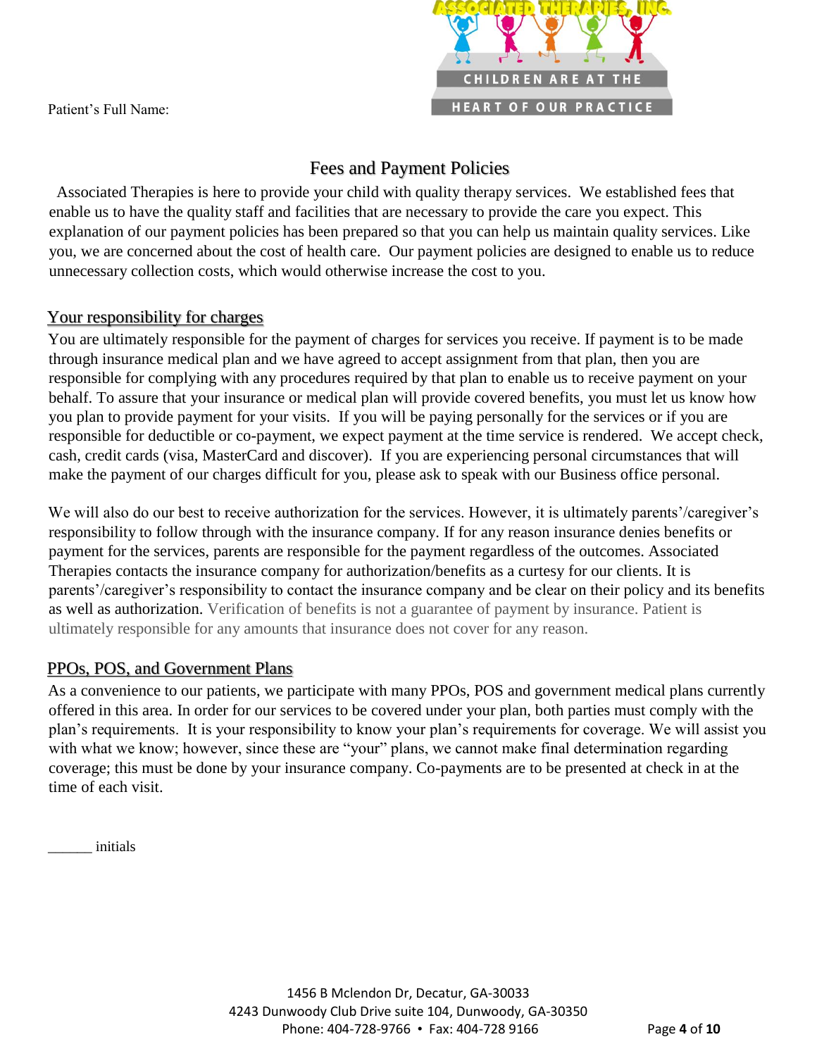

# Fees and Payment Policies

Associated Therapies is here to provide your child with quality therapy services. We established fees that enable us to have the quality staff and facilities that are necessary to provide the care you expect. This explanation of our payment policies has been prepared so that you can help us maintain quality services. Like you, we are concerned about the cost of health care. Our payment policies are designed to enable us to reduce unnecessary collection costs, which would otherwise increase the cost to you.

# Your responsibility for charges

You are ultimately responsible for the payment of charges for services you receive. If payment is to be made through insurance medical plan and we have agreed to accept assignment from that plan, then you are responsible for complying with any procedures required by that plan to enable us to receive payment on your behalf. To assure that your insurance or medical plan will provide covered benefits, you must let us know how you plan to provide payment for your visits. If you will be paying personally for the services or if you are responsible for deductible or co-payment, we expect payment at the time service is rendered. We accept check, cash, credit cards (visa, MasterCard and discover). If you are experiencing personal circumstances that will make the payment of our charges difficult for you, please ask to speak with our Business office personal.

We will also do our best to receive authorization for the services. However, it is ultimately parents'/caregiver's responsibility to follow through with the insurance company. If for any reason insurance denies benefits or payment for the services, parents are responsible for the payment regardless of the outcomes. Associated Therapies contacts the insurance company for authorization/benefits as a curtesy for our clients. It is parents'/caregiver's responsibility to contact the insurance company and be clear on their policy and its benefits as well as authorization. Verification of benefits is not a guarantee of payment by insurance. Patient is ultimately responsible for any amounts that insurance does not cover for any reason.

# PPOs, POS, and Government Plans

As a convenience to our patients, we participate with many PPOs, POS and government medical plans currently offered in this area. In order for our services to be covered under your plan, both parties must comply with the plan's requirements. It is your responsibility to know your plan's requirements for coverage. We will assist you with what we know; however, since these are "your" plans, we cannot make final determination regarding coverage; this must be done by your insurance company. Co-payments are to be presented at check in at the time of each visit.

\_\_\_\_\_\_ initials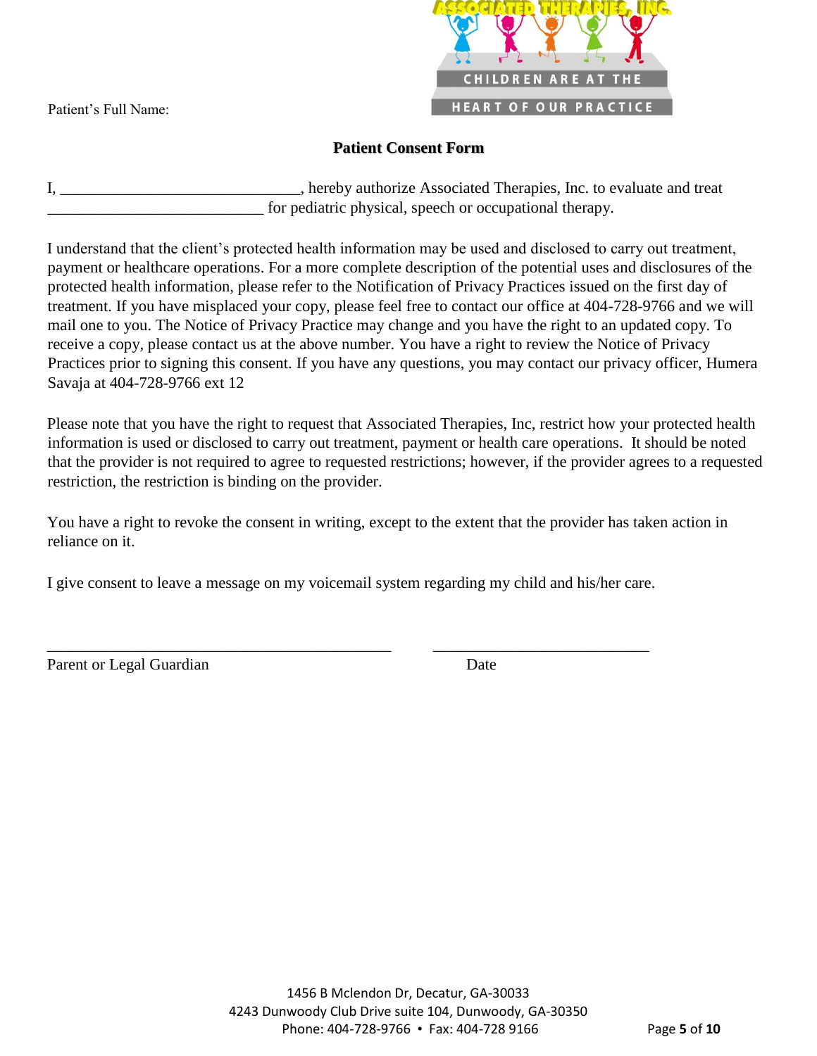

## **Patient Consent Form**

I, \_\_\_\_\_\_\_\_\_\_\_\_\_\_\_\_\_\_\_\_\_\_\_\_\_\_\_\_\_\_, hereby authorize Associated Therapies, Inc. to evaluate and treat for pediatric physical, speech or occupational therapy.

I understand that the client's protected health information may be used and disclosed to carry out treatment, payment or healthcare operations. For a more complete description of the potential uses and disclosures of the protected health information, please refer to the Notification of Privacy Practices issued on the first day of treatment. If you have misplaced your copy, please feel free to contact our office at 404-728-9766 and we will mail one to you. The Notice of Privacy Practice may change and you have the right to an updated copy. To receive a copy, please contact us at the above number. You have a right to review the Notice of Privacy Practices prior to signing this consent. If you have any questions, you may contact our privacy officer, Humera Savaja at 404-728-9766 ext 12

Please note that you have the right to request that Associated Therapies, Inc, restrict how your protected health information is used or disclosed to carry out treatment, payment or health care operations. It should be noted that the provider is not required to agree to requested restrictions; however, if the provider agrees to a requested restriction, the restriction is binding on the provider.

You have a right to revoke the consent in writing, except to the extent that the provider has taken action in reliance on it.

I give consent to leave a message on my voicemail system regarding my child and his/her care.

\_\_\_\_\_\_\_\_\_\_\_\_\_\_\_\_\_\_\_\_\_\_\_\_\_\_\_\_\_\_\_\_\_\_\_\_\_\_\_\_\_\_\_ \_\_\_\_\_\_\_\_\_\_\_\_\_\_\_\_\_\_\_\_\_\_\_\_\_\_\_

Parent or Legal Guardian Date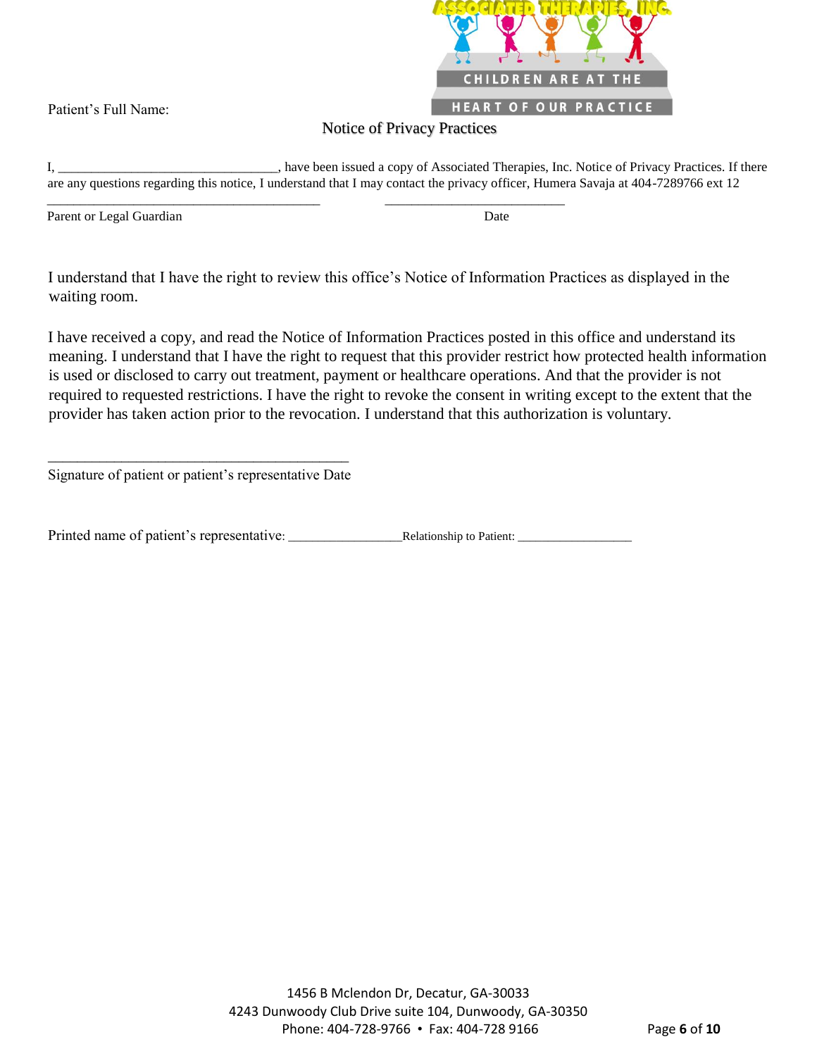

#### Notice of Privacy Practices

I, \_\_\_\_\_\_\_\_\_\_\_\_\_\_\_\_\_\_\_\_\_\_\_\_\_\_\_\_\_\_\_\_\_, have been issued a copy of Associated Therapies, Inc. Notice of Privacy Practices. If there are any questions regarding this notice, I understand that I may contact the privacy officer, Humera Savaja at 404-7289766 ext 12

Parent or Legal Guardian Date

I understand that I have the right to review this office's Notice of Information Practices as displayed in the waiting room.

\_\_\_\_\_\_\_\_\_\_\_\_\_\_\_\_\_\_\_\_\_\_\_\_\_\_\_\_\_\_\_\_\_\_\_\_\_\_\_\_\_ \_\_\_\_\_\_\_\_\_\_\_\_\_\_\_\_\_\_\_\_\_\_\_\_\_\_\_

I have received a copy, and read the Notice of Information Practices posted in this office and understand its meaning. I understand that I have the right to request that this provider restrict how protected health information is used or disclosed to carry out treatment, payment or healthcare operations. And that the provider is not required to requested restrictions. I have the right to revoke the consent in writing except to the extent that the provider has taken action prior to the revocation. I understand that this authorization is voluntary.

\_\_\_\_\_\_\_\_\_\_\_\_\_\_\_\_\_\_\_\_\_\_\_\_\_\_\_\_\_\_\_\_\_\_\_\_\_\_\_\_\_ Signature of patient or patient's representative Date

Printed name of patient's representative: \_\_\_\_\_\_\_\_\_\_\_\_\_\_\_\_\_\_\_Relationship to Patient: \_\_\_\_\_\_\_\_\_\_\_\_\_\_\_\_\_\_\_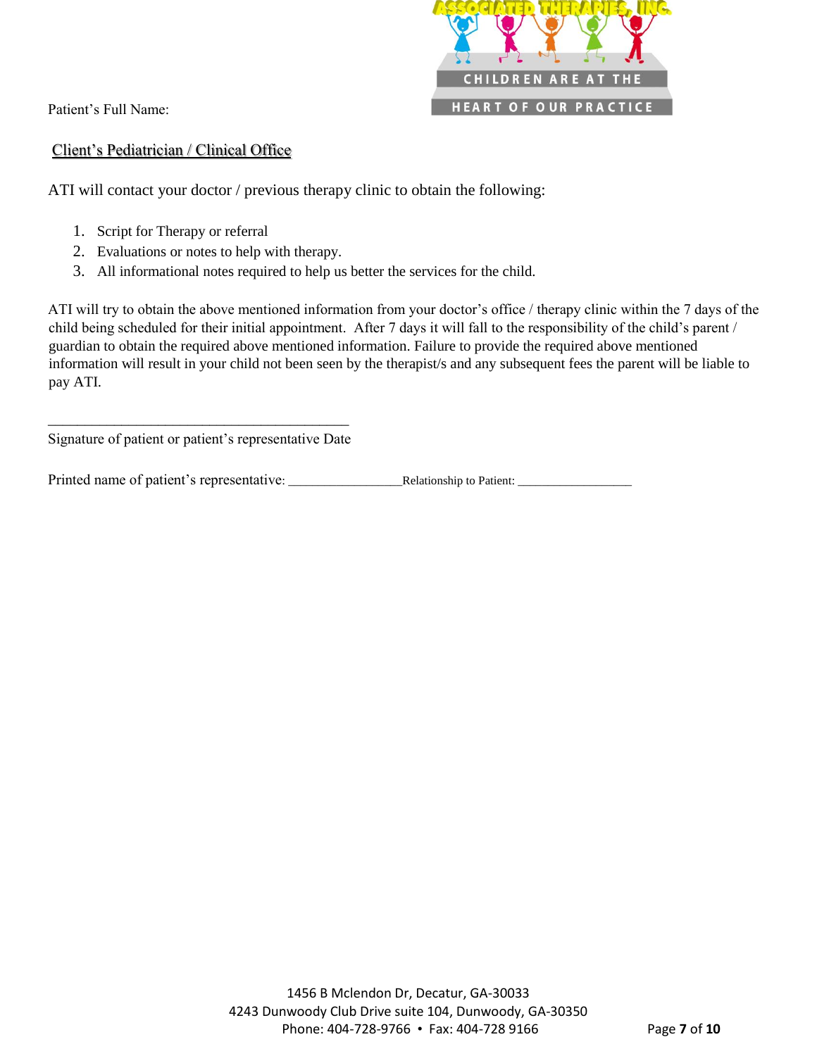

#### Client's Pediatrician / Clinical Office

ATI will contact your doctor / previous therapy clinic to obtain the following:

- 1. Script for Therapy or referral
- 2. Evaluations or notes to help with therapy.
- 3. All informational notes required to help us better the services for the child.

ATI will try to obtain the above mentioned information from your doctor's office / therapy clinic within the 7 days of the child being scheduled for their initial appointment. After 7 days it will fall to the responsibility of the child's parent / guardian to obtain the required above mentioned information. Failure to provide the required above mentioned information will result in your child not been seen by the therapist/s and any subsequent fees the parent will be liable to pay ATI.

\_\_\_\_\_\_\_\_\_\_\_\_\_\_\_\_\_\_\_\_\_\_\_\_\_\_\_\_\_\_\_\_\_\_\_\_\_\_\_\_\_ Signature of patient or patient's representative Date

Printed name of patient's representative: \_\_\_\_\_\_\_\_\_\_\_\_\_\_\_\_\_\_\_Relationship to Patient: \_\_\_\_\_\_\_\_\_\_\_\_\_\_\_\_\_\_\_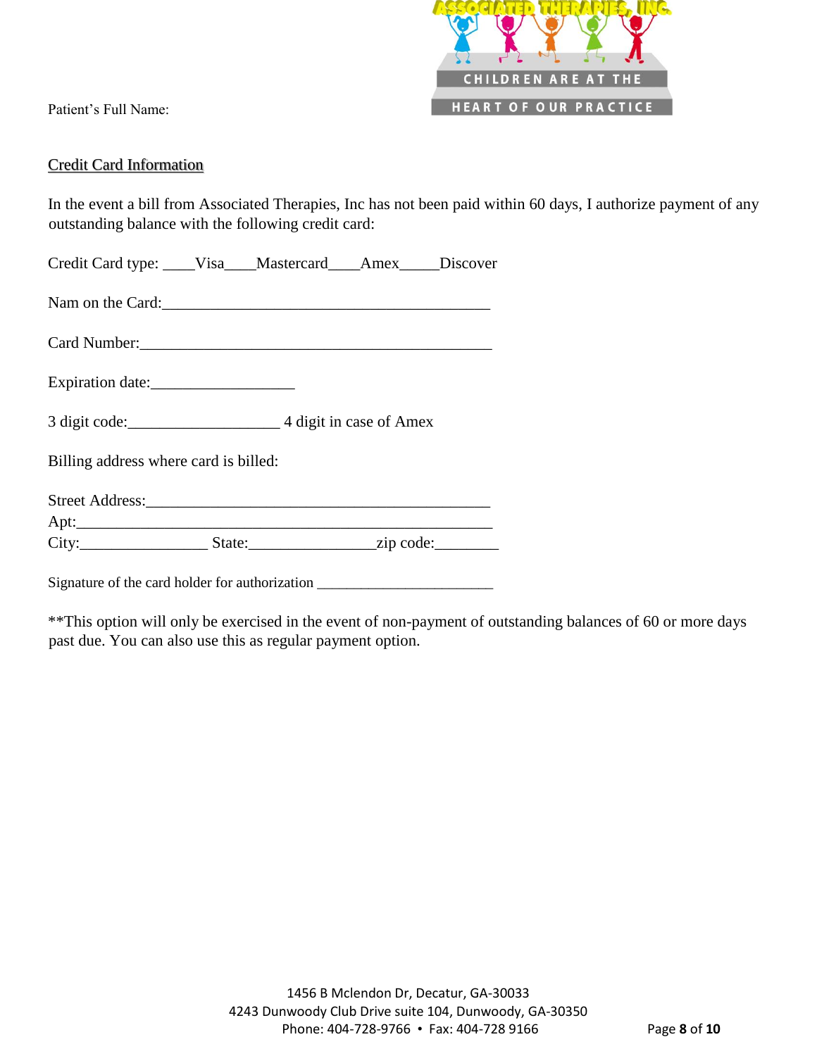

#### Credit Card Information

In the event a bill from Associated Therapies, Inc has not been paid within 60 days, I authorize payment of any outstanding balance with the following credit card:

| Credit Card type: ____Visa___Mastercard___Amex____Discover |  |  |  |  |
|------------------------------------------------------------|--|--|--|--|
|------------------------------------------------------------|--|--|--|--|

Nam on the Card:

Card Number:\_\_\_\_\_\_\_\_\_\_\_\_\_\_\_\_\_\_\_\_\_\_\_\_\_\_\_\_\_\_\_\_\_\_\_\_\_\_\_\_\_\_\_\_

Expiration date:

3 digit code:\_\_\_\_\_\_\_\_\_\_\_\_\_\_\_\_\_\_\_ 4 digit in case of Amex

Billing address where card is billed:

Street Address:

 $Apt:$ City:\_\_\_\_\_\_\_\_\_\_\_\_\_\_\_\_ State:\_\_\_\_\_\_\_\_\_\_\_\_\_\_\_\_zip code:\_\_\_\_\_\_\_\_

Signature of the card holder for authorization \_\_\_\_\_\_\_\_\_\_\_\_\_\_\_\_\_\_\_\_\_\_\_\_\_\_\_\_\_\_\_\_\_\_

\*\*This option will only be exercised in the event of non-payment of outstanding balances of 60 or more days past due. You can also use this as regular payment option.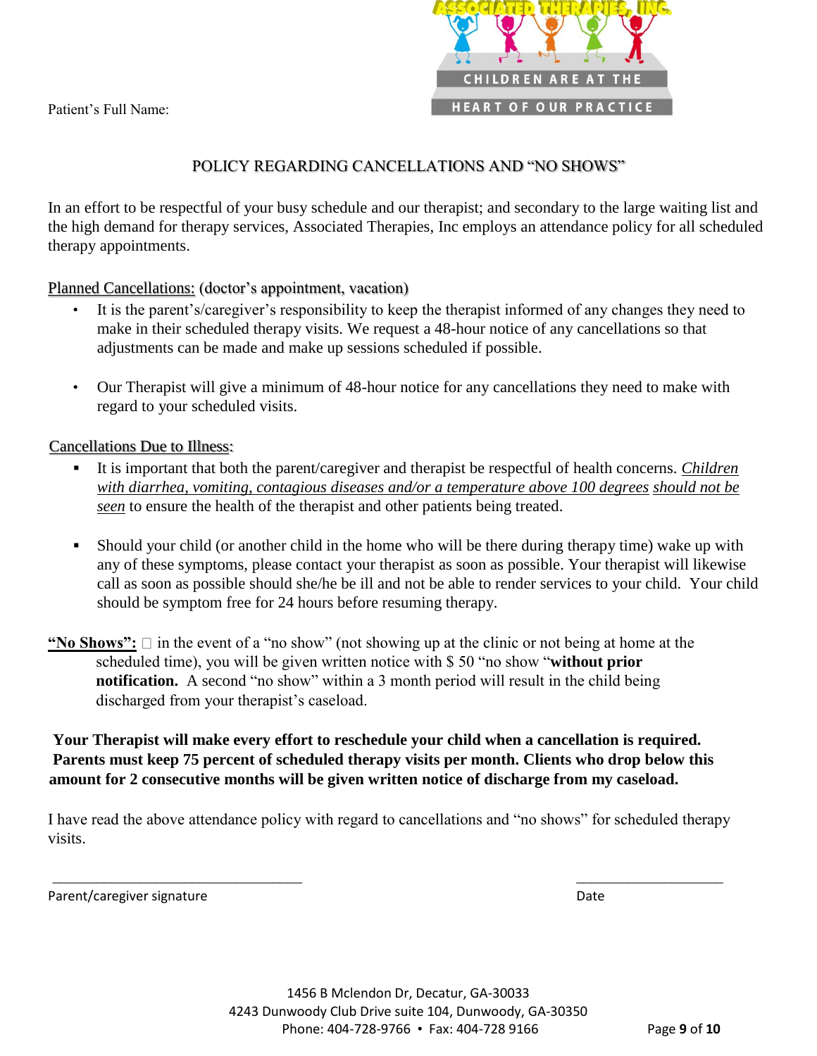

# POLICY REGARDING CANCELLATIONS AND "NO SHOWS"

In an effort to be respectful of your busy schedule and our therapist; and secondary to the large waiting list and the high demand for therapy services, Associated Therapies, Inc employs an attendance policy for all scheduled therapy appointments.

Planned Cancellations: (doctor's appointment, vacation)

- It is the parent's/caregiver's responsibility to keep the therapist informed of any changes they need to make in their scheduled therapy visits. We request a 48-hour notice of any cancellations so that adjustments can be made and make up sessions scheduled if possible.
- Our Therapist will give a minimum of 48-hour notice for any cancellations they need to make with regard to your scheduled visits.

Cancellations Due to Illness:

- It is important that both the parent/caregiver and therapist be respectful of health concerns. *Children with diarrhea, vomiting, contagious diseases and/or a temperature above 100 degrees should not be seen* to ensure the health of the therapist and other patients being treated.
- Should your child (or another child in the home who will be there during therapy time) wake up with any of these symptoms, please contact your therapist as soon as possible. Your therapist will likewise call as soon as possible should she/he be ill and not be able to render services to your child. Your child should be symptom free for 24 hours before resuming therapy.
- **"No Shows":**  $\Box$  in the event of a "no show" (not showing up at the clinic or not being at home at the scheduled time), you will be given written notice with \$ 50 "no show "**without prior notification.** A second "no show" within a 3 month period will result in the child being discharged from your therapist's caseload.

**Your Therapist will make every effort to reschedule your child when a cancellation is required. Parents must keep 75 percent of scheduled therapy visits per month. Clients who drop below this amount for 2 consecutive months will be given written notice of discharge from my caseload.** 

I have read the above attendance policy with regard to cancellations and "no shows" for scheduled therapy visits.

 $\overline{\phantom{a}}$  , and the contract of the contract of the contract of the contract of the contract of the contract of the contract of the contract of the contract of the contract of the contract of the contract of the contrac

Parent/caregiver signature Date